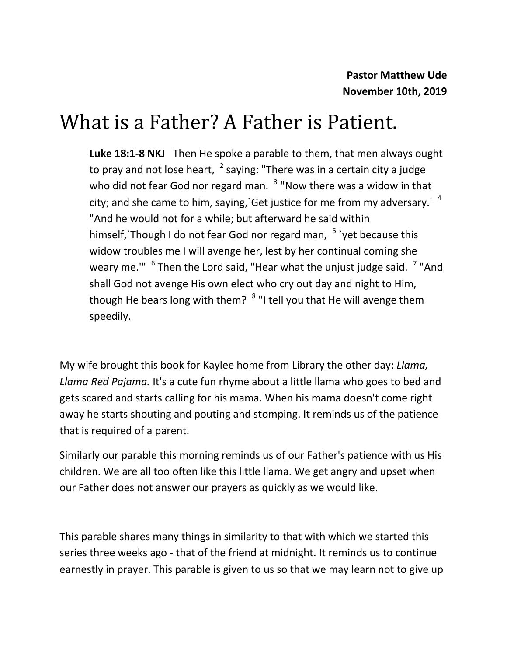# What is a Father? A Father is Patient.

**Luke 18:1-8 NKJ** Then He spoke a parable to them, that men always ought to pray and not lose heart,  $\frac{2}{3}$  saying: "There was in a certain city a judge who did not fear God nor regard man. <sup>3</sup> "Now there was a widow in that city; and she came to him, saying, Get justice for me from my adversary.<sup> $4\text{ }$ </sup> "And he would not for a while; but afterward he said within himself, `Though I do not fear God nor regard man, <sup>5</sup> `yet because this widow troubles me I will avenge her, lest by her continual coming she weary me."" <sup>6</sup> Then the Lord said, "Hear what the unjust judge said. <sup>7</sup> "And shall God not avenge His own elect who cry out day and night to Him, though He bears long with them? <sup>8</sup> "I tell you that He will avenge them speedily.

My wife brought this book for Kaylee home from Library the other day: *Llama, Llama Red Pajama.* It's a cute fun rhyme about a little llama who goes to bed and gets scared and starts calling for his mama. When his mama doesn't come right away he starts shouting and pouting and stomping. It reminds us of the patience that is required of a parent.

Similarly our parable this morning reminds us of our Father's patience with us His children. We are all too often like this little llama. We get angry and upset when our Father does not answer our prayers as quickly as we would like.

This parable shares many things in similarity to that with which we started this series three weeks ago - that of the friend at midnight. It reminds us to continue earnestly in prayer. This parable is given to us so that we may learn not to give up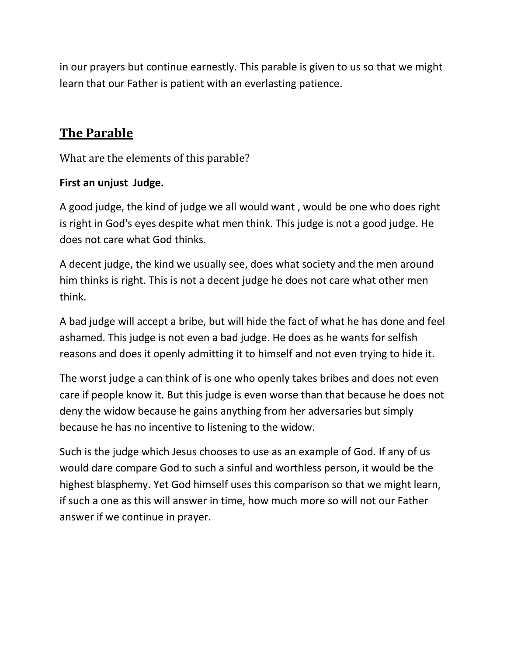in our prayers but continue earnestly. This parable is given to us so that we might learn that our Father is patient with an everlasting patience.

## **The Parable**

What are the elements of this parable?

#### **First an unjust Judge.**

A good judge, the kind of judge we all would want , would be one who does right is right in God's eyes despite what men think. This judge is not a good judge. He does not care what God thinks.

A decent judge, the kind we usually see, does what society and the men around him thinks is right. This is not a decent judge he does not care what other men think.

A bad judge will accept a bribe, but will hide the fact of what he has done and feel ashamed. This judge is not even a bad judge. He does as he wants for selfish reasons and does it openly admitting it to himself and not even trying to hide it.

The worst judge a can think of is one who openly takes bribes and does not even care if people know it. But this judge is even worse than that because he does not deny the widow because he gains anything from her adversaries but simply because he has no incentive to listening to the widow.

Such is the judge which Jesus chooses to use as an example of God. If any of us would dare compare God to such a sinful and worthless person, it would be the highest blasphemy. Yet God himself uses this comparison so that we might learn, if such a one as this will answer in time, how much more so will not our Father answer if we continue in prayer.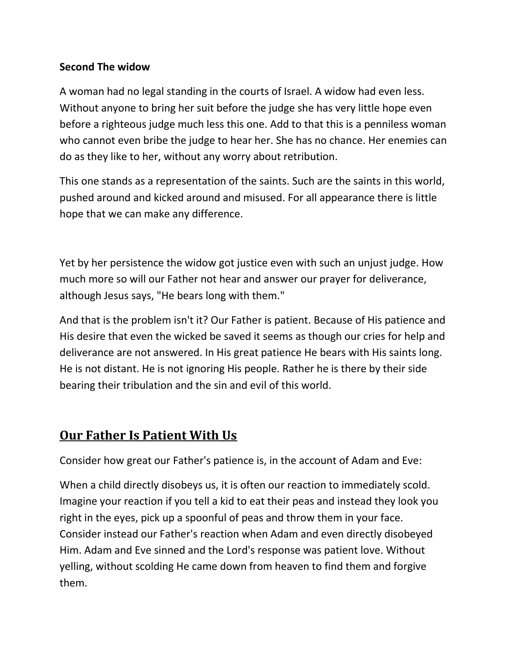#### **Second The widow**

A woman had no legal standing in the courts of Israel. A widow had even less. Without anyone to bring her suit before the judge she has very little hope even before a righteous judge much less this one. Add to that this is a penniless woman who cannot even bribe the judge to hear her. She has no chance. Her enemies can do as they like to her, without any worry about retribution.

This one stands as a representation of the saints. Such are the saints in this world, pushed around and kicked around and misused. For all appearance there is little hope that we can make any difference.

Yet by her persistence the widow got justice even with such an unjust judge. How much more so will our Father not hear and answer our prayer for deliverance, although Jesus says, "He bears long with them."

And that is the problem isn't it? Our Father is patient. Because of His patience and His desire that even the wicked be saved it seems as though our cries for help and deliverance are not answered. In His great patience He bears with His saints long. He is not distant. He is not ignoring His people. Rather he is there by their side bearing their tribulation and the sin and evil of this world.

## **Our Father Is Patient With Us**

Consider how great our Father's patience is, in the account of Adam and Eve:

When a child directly disobeys us, it is often our reaction to immediately scold. Imagine your reaction if you tell a kid to eat their peas and instead they look you right in the eyes, pick up a spoonful of peas and throw them in your face. Consider instead our Father's reaction when Adam and even directly disobeyed Him. Adam and Eve sinned and the Lord's response was patient love. Without yelling, without scolding He came down from heaven to find them and forgive them.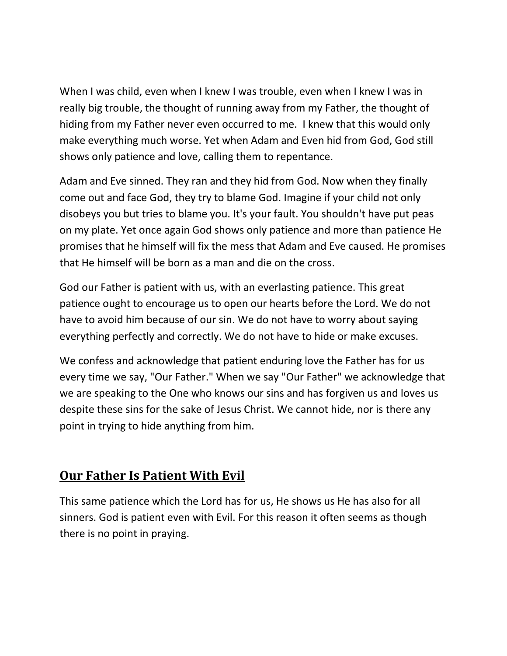When I was child, even when I knew I was trouble, even when I knew I was in really big trouble, the thought of running away from my Father, the thought of hiding from my Father never even occurred to me. I knew that this would only make everything much worse. Yet when Adam and Even hid from God, God still shows only patience and love, calling them to repentance.

Adam and Eve sinned. They ran and they hid from God. Now when they finally come out and face God, they try to blame God. Imagine if your child not only disobeys you but tries to blame you. It's your fault. You shouldn't have put peas on my plate. Yet once again God shows only patience and more than patience He promises that he himself will fix the mess that Adam and Eve caused. He promises that He himself will be born as a man and die on the cross.

God our Father is patient with us, with an everlasting patience. This great patience ought to encourage us to open our hearts before the Lord. We do not have to avoid him because of our sin. We do not have to worry about saying everything perfectly and correctly. We do not have to hide or make excuses.

We confess and acknowledge that patient enduring love the Father has for us every time we say, "Our Father." When we say "Our Father" we acknowledge that we are speaking to the One who knows our sins and has forgiven us and loves us despite these sins for the sake of Jesus Christ. We cannot hide, nor is there any point in trying to hide anything from him.

## **Our Father Is Patient With Evil**

This same patience which the Lord has for us, He shows us He has also for all sinners. God is patient even with Evil. For this reason it often seems as though there is no point in praying.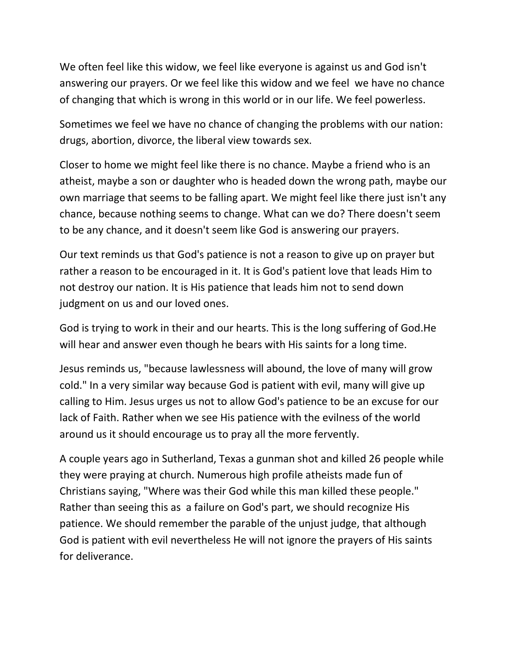We often feel like this widow, we feel like everyone is against us and God isn't answering our prayers. Or we feel like this widow and we feel we have no chance of changing that which is wrong in this world or in our life. We feel powerless.

Sometimes we feel we have no chance of changing the problems with our nation: drugs, abortion, divorce, the liberal view towards sex.

Closer to home we might feel like there is no chance. Maybe a friend who is an atheist, maybe a son or daughter who is headed down the wrong path, maybe our own marriage that seems to be falling apart. We might feel like there just isn't any chance, because nothing seems to change. What can we do? There doesn't seem to be any chance, and it doesn't seem like God is answering our prayers.

Our text reminds us that God's patience is not a reason to give up on prayer but rather a reason to be encouraged in it. It is God's patient love that leads Him to not destroy our nation. It is His patience that leads him not to send down judgment on us and our loved ones.

God is trying to work in their and our hearts. This is the long suffering of God.He will hear and answer even though he bears with His saints for a long time.

Jesus reminds us, "because lawlessness will abound, the love of many will grow cold." In a very similar way because God is patient with evil, many will give up calling to Him. Jesus urges us not to allow God's patience to be an excuse for our lack of Faith. Rather when we see His patience with the evilness of the world around us it should encourage us to pray all the more fervently.

A couple years ago in Sutherland, Texas a gunman shot and killed 26 people while they were praying at church. Numerous high profile atheists made fun of Christians saying, "Where was their God while this man killed these people." Rather than seeing this as a failure on God's part, we should recognize His patience. We should remember the parable of the unjust judge, that although God is patient with evil nevertheless He will not ignore the prayers of His saints for deliverance.